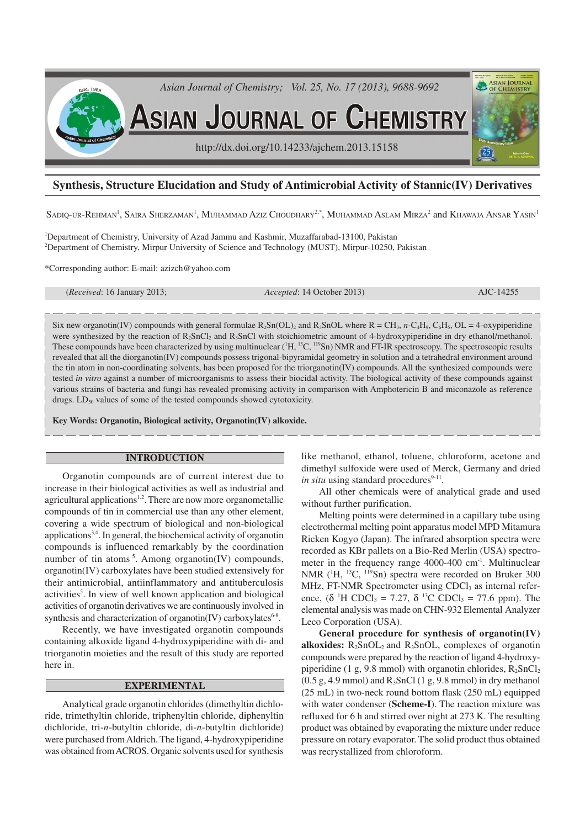

# **Synthesis, Structure Elucidation and Study of Antimicrobial Activity of Stannic(IV) Derivatives**

Sadiq-ur-Rehman<sup>1</sup>, Saira Sherzaman<sup>1</sup>, Muhammad Aziz Choudhary<sup>2,\*</sup>, Muhammad Aslam Mirza<sup>2</sup> and Khawaja Ansar Yasin<sup>1</sup>

<sup>1</sup>Department of Chemistry, University of Azad Jammu and Kashmir, Muzaffarabad-13100, Pakistan <sup>2</sup>Department of Chemistry, Mirpur University of Science and Technology (MUST), Mirpur-10250, Pakistan

\*Corresponding author: E-mail: azizch@yahoo.com

(*Received*: 16 January 2013; *Accepted*: 14 October 2013) AJC-14255

Six new organotin(IV) compounds with general formulae  $R_2Sn(OL)_2$  and  $R_3SnOL$  where  $R = CH_3$ ,  $n-C_4H_9$ ,  $C_6H_5$ ,  $OL = 4$ -oxypiperidine were synthesized by the reaction of  $R_2SnCl_2$  and  $R_3SnCl$  with stoichiometric amount of 4-hydroxypiperidine in dry ethanol/methanol. These compounds have been characterized by using multinuclear  $(^1H, ^{13}C, ^{119}Sn)$  NMR and FT-IR spectroscopy. The spectroscopic results revealed that all the diorganotin(IV) compounds possess trigonal-bipyramidal geometry in solution and a tetrahedral environment around the tin atom in non-coordinating solvents, has been proposed for the triorganotin(IV) compounds. All the synthesized compounds were tested *in vitro* against a number of microorganisms to assess their biocidal activity. The biological activity of these compounds against various strains of bacteria and fungi has revealed promising activity in comparison with Amphotericin B and miconazole as reference drugs.  $LD_{50}$  values of some of the tested compounds showed cytotoxicity.

**Key Words: Organotin, Biological activity, Organotin(IV) alkoxide.**

#### **INTRODUCTION**

Organotin compounds are of current interest due to increase in their biological activities as well as industrial and agricultural applications<sup>1,2</sup>. There are now more organometallic compounds of tin in commercial use than any other element, covering a wide spectrum of biological and non-biological applications<sup>3,4</sup>. In general, the biochemical activity of organotin compounds is influenced remarkably by the coordination number of tin atoms<sup>5</sup>. Among organotin(IV) compounds, organotin(IV) carboxylates have been studied extensively for their antimicrobial, antiinflammatory and antituberculosis activities<sup>5</sup>. In view of well known application and biological activities of organotin derivatives we are continuously involved in synthesis and characterization of organotin(IV) carboxylates<sup>6-8</sup>.

Recently, we have investigated organotin compounds containing alkoxide ligand 4-hydroxypiperidine with di- and triorganotin moieties and the result of this study are reported here in.

#### **EXPERIMENTAL**

Analytical grade organotin chlorides (dimethyltin dichloride, trimethyltin chloride, triphenyltin chloride, diphenyltin dichloride, tri-*n*-butyltin chloride, di-*n*-butyltin dichloride) were purchased from Aldrich. The ligand, 4-hydroxypiperidine was obtained from ACROS. Organic solvents used for synthesis like methanol, ethanol, toluene, chloroform, acetone and dimethyl sulfoxide were used of Merck, Germany and dried *in situ* using standard procedures<sup>9-11</sup>.

All other chemicals were of analytical grade and used without further purification.

Melting points were determined in a capillary tube using electrothermal melting point apparatus model MPD Mitamura Ricken Kogyo (Japan). The infrared absorption spectra were recorded as KBr pallets on a Bio-Red Merlin (USA) spectrometer in the frequency range  $4000-400$  cm<sup>-1</sup>. Multinuclear NMR ( ${}^{1}H$ ,  ${}^{13}C$ ,  ${}^{119}Sn$ ) spectra were recorded on Bruker 300 MHz, FT-NMR Spectrometer using CDCl<sub>3</sub> as internal reference,  $(\delta$  <sup>1</sup>H CDCl<sub>3</sub> = 7.27,  $\delta$  <sup>13</sup>C CDCl<sub>3</sub> = 77.6 ppm). The elemental analysis was made on CHN-932 Elemental Analyzer Leco Corporation (USA).

**General procedure for synthesis of organotin(IV) alkoxides:**  $R_2SnOL_2$  and  $R_3SnOL_1$ , complexes of organotin compounds were prepared by the reaction of ligand 4-hydroxypiperidine (1 g, 9.8 mmol) with organotin chlorides,  $R_2SnCl_2$  $(0.5 \text{ g}, 4.9 \text{ mmol})$  and  $R_3$ SnCl $(1 \text{ g}, 9.8 \text{ mmol})$  in dry methanol (25 mL) in two-neck round bottom flask (250 mL) equipped with water condenser (**Scheme-I**). The reaction mixture was refluxed for 6 h and stirred over night at 273 K. The resulting product was obtained by evaporating the mixture under reduce pressure on rotary evaporator. The solid product thus obtained was recrystallized from chloroform.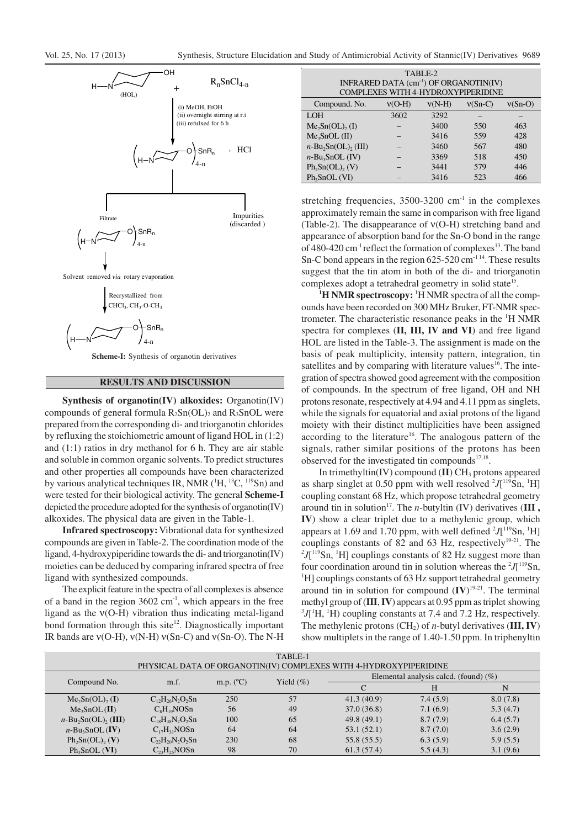

### **RESULTS AND DISCUSSION**

**Synthesis of organotin(IV) alkoxides:** Organotin(IV) compounds of general formula  $R_2Sn(OL)_2$  and  $R_3SnOL$  were prepared from the corresponding di- and triorganotin chlorides by refluxing the stoichiometric amount of ligand HOL in (1:2) and (1:1) ratios in dry methanol for 6 h. They are air stable and soluble in common organic solvents. To predict structures and other properties all compounds have been characterized by various analytical techniques IR, NMR  $(^1H, ^{13}C, ^{119}Sn)$  and were tested for their biological activity. The general **Scheme-I** depicted the procedure adopted for the synthesis of organotin(IV) alkoxides. The physical data are given in the Table-1.

**Infrared spectroscopy:**Vibrational data for synthesized compounds are given in Table-2. The coordination mode of the ligand, 4-hydroxypiperidine towards the di- and triorganotin(IV) moieties can be deduced by comparing infrared spectra of free ligand with synthesized compounds.

The explicit feature in the spectra of all complexes is absence of a band in the region  $3602 \text{ cm}^{-1}$ , which appears in the free ligand as the ν(O-H) vibration thus indicating metal-ligand bond formation through this site<sup>12</sup>. Diagnostically important IR bands are ν(O-H), ν(N-H) ν(Sn-C) and ν(Sn-O). The N-H

| TABLE-2<br>INFRARED DATA $(cm-1)$ OF ORGANOTIN(IV)<br>COMPLEXES WITH 4-HYDROXYPIPERIDINE |          |          |           |           |  |  |  |  |
|------------------------------------------------------------------------------------------|----------|----------|-----------|-----------|--|--|--|--|
| Compound. No.                                                                            | $v(O-H)$ | $v(N-H)$ | $v(Sn-C)$ | $v(Sn-O)$ |  |  |  |  |
| <b>LOH</b>                                                                               | 3602     | 3292     |           |           |  |  |  |  |
| $Me2Sn(OL)$ <sub>2</sub> (I)                                                             |          | 3400     | 550       | 463       |  |  |  |  |
| Me <sub>3</sub> SDL (II)                                                                 |          | 3416     | 559       | 428       |  |  |  |  |
| $n-\text{Bu}_2\text{Sn}(\text{OL})$ , (III)                                              |          | 3460     | 567       | 480       |  |  |  |  |
| $n$ -Bu <sub>3</sub> SnOL (IV)                                                           |          | 3369     | 518       | 450       |  |  |  |  |
| $Ph2Sn(OL)$ , (V)                                                                        |          | 3441     | 579       | 446       |  |  |  |  |
| Ph <sub>3</sub> SDL (VI)                                                                 |          | 3416     | 523       | 466       |  |  |  |  |

stretching frequencies,  $3500-3200$  cm<sup>-1</sup> in the complexes approximately remain the same in comparison with free ligand (Table-2). The disappearance of ν(O-H) stretching band and appearance of absorption band for the Sn-O bond in the range of 480-420 cm<sup>-1</sup> reflect the formation of complexes<sup>13</sup>. The band Sn-C bond appears in the region  $625-520$  cm<sup>-114</sup>. These results suggest that the tin atom in both of the di- and triorganotin complexes adopt a tetrahedral geometry in solid state<sup>15</sup>.

<sup>1</sup>**H NMR spectroscopy:** <sup>1</sup>H NMR spectra of all the compounds have been recorded on 300 MHz Bruker, FT-NMR spectrometer. The characteristic resonance peaks in the <sup>1</sup>H NMR spectra for complexes (**II, III, IV and VI**) and free ligand HOL are listed in the Table-3. The assignment is made on the basis of peak multiplicity, intensity pattern, integration, tin satellites and by comparing with literature values<sup>16</sup>. The integration of spectra showed good agreement with the composition of compounds. In the spectrum of free ligand, OH and NH protons resonate, respectively at 4.94 and 4.11 ppm as singlets, while the signals for equatorial and axial protons of the ligand moiety with their distinct multiplicities have been assigned according to the literature<sup>16</sup>. The analogous pattern of the signals, rather similar positions of the protons has been observed for the investigated tin compounds $17,18$ .

In trimethyltin(IV) compound (II) CH<sub>3</sub> protons appeared as sharp singlet at 0.50 ppm with well resolved  $2J$ [ $119$ Sn,  $1H$ ] coupling constant 68 Hz, which propose tetrahedral geometry around tin in solution<sup>17</sup>. The *n*-butyltin (IV) derivatives  $(III,$ **IV**) show a clear triplet due to a methylenic group, which appears at 1.69 and 1.70 ppm, with well defined  $2J$ [ $119$ Sn,  $1H$ ] couplings constants of 82 and 63 Hz, respectively $19-21$ . The  $^{2}J$ [ $^{119}$ Sn,  $^{1}$ H] couplings constants of 82 Hz suggest more than four coordination around tin in solution whereas the  $\mathscr{I}J$ <sup>119</sup>Sn,  $H$ ] couplings constants of 63 Hz support tetrahedral geometry around tin in solution for compound  $(IV)^{19-21}$ . The terminal methyl group of (**III**, **IV**) appears at 0.95 ppm as triplet showing  ${}^{3}J$ <sup>[1</sup>H, <sup>1</sup>H) coupling constants at 7.4 and 7.2 Hz, respectively. The methylenic protons (CH2) of *n*-butyl derivatives (**III, IV**) show multiplets in the range of 1.40-1.50 ppm. In triphenyltin

|                                                                   |                        |                    | TABLE-1      |                                          |          |          |  |  |  |
|-------------------------------------------------------------------|------------------------|--------------------|--------------|------------------------------------------|----------|----------|--|--|--|
| PHYSICAL DATA OF ORGANOTIN(IV) COMPLEXES WITH 4-HYDROXYPIPERIDINE |                        |                    |              |                                          |          |          |  |  |  |
| Compound No.                                                      |                        | m.p. $(^{\circ}C)$ |              | Elemental analysis calcd. (found) $(\%)$ |          |          |  |  |  |
|                                                                   | m.f.                   |                    | Yield $(\%)$ |                                          | Н        | N        |  |  |  |
| $Me2Sn(OL)$ <sub>2</sub> (I)                                      | $C_{12}H_{26}N_2O_2Sn$ | 250                | 57           | 41.3(40.9)                               | 7.4(5.9) | 8.0(7.8) |  |  |  |
| $Me3SDL$ (II)                                                     | $C_8H_{19}NOSn$        | 56                 | 49           | 37.0(36.8)                               | 7.1(6.9) | 5.3(4.7) |  |  |  |
| $n-Bu, Sn(OL), (III)$                                             | $C_{18}H_{38}N_2O_2Sn$ | 100                | 65           | 49.8(49.1)                               | 8.7(7.9) | 6.4(5.7) |  |  |  |
| $n-Bu_3SnOL$ (IV)                                                 | $C_{17}H_{31}NOSn$     | 64                 | 64           | 53.1(52.1)                               | 8.7(7.0) | 3.6(2.9) |  |  |  |
| $Ph_2Sn(OL)$ , $(V)$                                              | $C_{22}H_{20}N_2O_2Sn$ | 230                | 68           | 55.8(55.5)                               | 6.3(5.9) | 5.9(5.5) |  |  |  |
| $Ph_3SnOL$ (VI)                                                   | $C_{23}H_{25}NOSn$     | 98                 | 70           | 61.3(57.4)                               | 5.5(4.3) | 3.1(9.6) |  |  |  |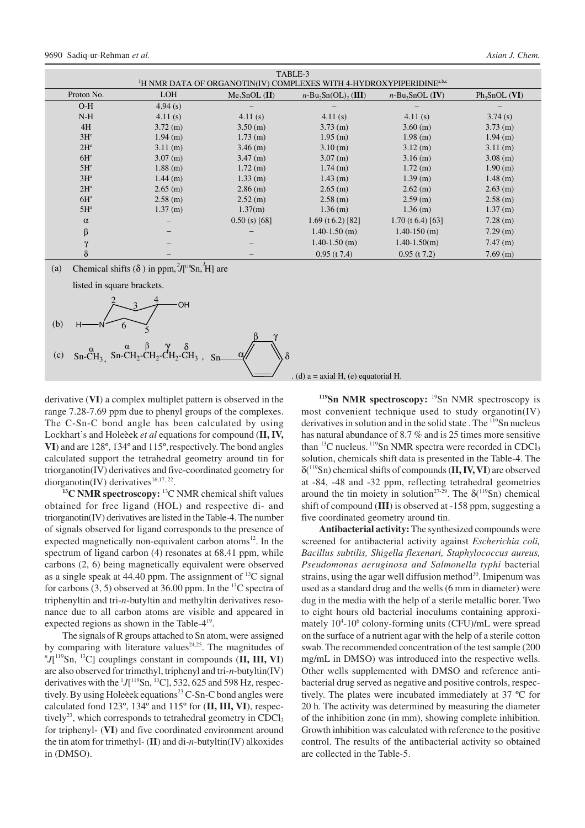|                                                                                              | TABLE-3    |                 |                                             |                      |                 |  |  |  |  |
|----------------------------------------------------------------------------------------------|------------|-----------------|---------------------------------------------|----------------------|-----------------|--|--|--|--|
| <sup>1</sup> H NMR DATA OF ORGANOTIN(IV) COMPLEXES WITH 4-HYDROXYPIPERIDINE <sup>a,b,c</sup> |            |                 |                                             |                      |                 |  |  |  |  |
| Proton No.                                                                                   | <b>LOH</b> | $Me3SDOL$ (II)  | $n-\text{Bu}_2\text{Sn}(\text{OL})$ , (III) | $n-Bu_3SnOL$ (IV)    | $Ph_3SnOL$ (VI) |  |  |  |  |
| $O-H$                                                                                        | 4.94(s)    |                 |                                             |                      |                 |  |  |  |  |
| $N-H$                                                                                        | 4.11(s)    | 4.11(s)         | 4.11(s)                                     | 4.11(s)              | 3.74(s)         |  |  |  |  |
| 4H                                                                                           | $3.72$ (m) | 3.50(m)         | $3.73$ (m)                                  | $3.60$ (m)           | $3.73$ (m)      |  |  |  |  |
| $3H^e$                                                                                       | $1.94$ (m) | $1.73$ (m)      | 1.95(m)                                     | $1.98$ (m)           | $1.94$ (m)      |  |  |  |  |
| 2H <sup>e</sup>                                                                              | 3.11(m)    | $3.46$ (m)      | 3.10(m)                                     | $3.12$ (m)           | 3.11(m)         |  |  |  |  |
| 6H <sup>e</sup>                                                                              | $3.07$ (m) | $3.47$ (m)      | $3.07$ (m)                                  | $3.16$ (m)           | $3.08$ (m)      |  |  |  |  |
| 5H <sup>e</sup>                                                                              | $1.88$ (m) | 1.72(m)         | $1.74$ (m)                                  | 1.72(m)              | 1.90(m)         |  |  |  |  |
| $3H^a$                                                                                       | $1.44$ (m) | $1.33$ (m)      | $1.43$ (m)                                  | $1.39$ (m)           | $1.48$ (m)      |  |  |  |  |
| $2H^a$                                                                                       | $2.65$ (m) | $2.86$ (m)      | $2.65$ (m)                                  | $2.62$ (m)           | $2.63$ (m)      |  |  |  |  |
| $6H^a$                                                                                       | $2.58$ (m) | $2.52$ (m)      | $2.58$ (m)                                  | $2.59$ (m)           | $2.58$ (m)      |  |  |  |  |
| $5H^a$                                                                                       | 1.37(m)    | 1.37(m)         | $1.36$ (m)                                  | $1.36$ (m)           | 1.37(m)         |  |  |  |  |
| $\alpha$                                                                                     |            | $0.50$ (s) [68] | 1.69 (t 6.2) [82]                           | 1.70 (t $6.4$ ) [63] | $7.28$ (m)      |  |  |  |  |
| β                                                                                            |            |                 | $1.40 - 1.50$ (m)                           | $1.40 - 150$ (m)     | $7.29$ (m)      |  |  |  |  |
| $\gamma$                                                                                     |            |                 | $1.40 - 1.50$ (m)                           | $1.40 - 1.50(m)$     | $7.47$ (m)      |  |  |  |  |
| $\delta$                                                                                     |            |                 | $0.95$ (t 7.4)                              | $0.95$ (t 7.2)       | $7.69$ (m)      |  |  |  |  |

(a) Chemical shifts ( $\delta$ ) in ppm,  ${}^{2}J$ <sup>[19</sup>Sn, <sup>*1*</sup>H] are



derivative (**VI**) a complex multiplet pattern is observed in the range 7.28-7.69 ppm due to phenyl groups of the complexes. The C-Sn-C bond angle has been calculated by using Lockhart's and Holeèek *et al* equations for compound (**II, IV, VI**) and are 128º, 134º and 115º,respectively. The bond angles calculated support the tetrahedral geometry around tin for triorganotin(IV) derivatives and five-coordinated geometry for diorganotin(IV) derivatives $16,17,22$ .

**<sup>13</sup>C NMR spectroscopy:** <sup>13</sup>C NMR chemical shift values obtained for free ligand (HOL) and respective di- and triorganotin(IV) derivatives are listed in the Table-4. The number of signals observed for ligand corresponds to the presence of expected magnetically non-equivalent carbon atoms $^{12}$ . In the spectrum of ligand carbon (4) resonates at 68.41 ppm, while carbons (2, 6) being magnetically equivalent were observed as a single speak at  $44.40$  ppm. The assignment of <sup>13</sup>C signal for carbons  $(3, 5)$  observed at 36.00 ppm. In the <sup>13</sup>C spectra of triphenyltin and tri-*n*-butyltin and methyltin derivatives resonance due to all carbon atoms are visible and appeared in expected regions as shown in the Table- $4^{19}$ .

The signals of R groups attached to Sn atom, were assigned by comparing with literature values $24.25$ . The magnitudes of *n J*[ <sup>119</sup>Sn, <sup>13</sup>C] couplings constant in compounds (**II, III, VI**) are also observed for trimethyl, triphenyl and tri*-n*-butyltin(IV) derivatives with the  ${}^{1}J$ <sup>[119</sup>Sn, <sup>13</sup>C], 532, 625 and 598 Hz, respectively. By using Holeèek equations<sup>23</sup> C-Sn-C bond angles were calculated fond 123º, 134º and 115º for (**II, III, VI**), respectively<sup>23</sup>, which corresponds to tetrahedral geometry in CDCl<sub>3</sub> for triphenyl- (**VI**) and five coordinated environment around the tin atom for trimethyl- (**II**) and di-*n*-butyltin(IV) alkoxides in (DMSO).

<sup>119</sup>**Sn NMR spectroscopy:** <sup>19</sup>Sn NMR spectroscopy is most convenient technique used to study organotin(IV) derivatives in solution and in the solid state . The <sup>119</sup>Sn nucleus has natural abundance of 8.7 % and is 25 times more sensitive than  ${}^{13}C$  nucleus.  ${}^{119}Sn$  NMR spectra were recorded in CDCl<sub>3</sub> solution, chemicals shift data is presented in the Table-4. The δ( <sup>119</sup>Sn) chemical shifts of compounds (**II, IV, VI**) are observed at -84, -48 and -32 ppm, reflecting tetrahedral geometries around the tin moiety in solution<sup>27-29</sup>. The  $\delta(^{119}Sn)$  chemical shift of compound (**III**) is observed at -158 ppm, suggesting a five coordinated geometry around tin.

**Antibacterial activity:** The synthesized compounds were screened for antibacterial activity against *Escherichia coli, Bacillus subtilis, Shigella flexenari, Staphylococcus aureus, Pseudomonas aeruginosa and Salmonella typhi* bacterial strains, using the agar well diffusion method $30$ . Imipenum was used as a standard drug and the wells (6 mm in diameter) were dug in the media with the help of a sterile metallic borer. Two to eight hours old bacterial inoculums containing approximately 10<sup>4</sup>-10<sup>6</sup> colony-forming units (CFU)/mL were spread on the surface of a nutrient agar with the help of a sterile cotton swab. The recommended concentration of the test sample (200 mg/mL in DMSO) was introduced into the respective wells. Other wells supplemented with DMSO and reference antibacterial drug served as negative and positive controls, respectively. The plates were incubated immediately at 37 ºC for 20 h. The activity was determined by measuring the diameter of the inhibition zone (in mm), showing complete inhibition. Growth inhibition was calculated with reference to the positive control. The results of the antibacterial activity so obtained are collected in the Table-5.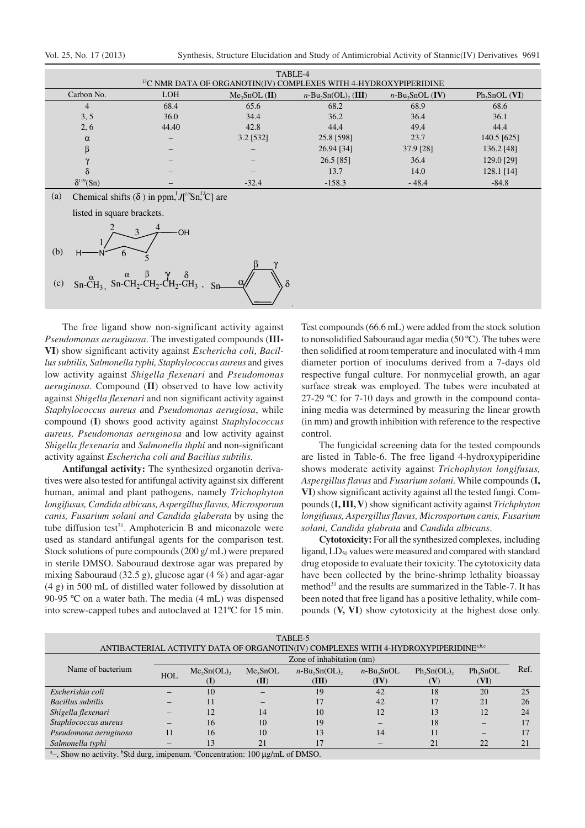| TABLE-4                                                                      |            |               |                       |                                |               |  |  |  |
|------------------------------------------------------------------------------|------------|---------------|-----------------------|--------------------------------|---------------|--|--|--|
| <sup>13</sup> C NMR DATA OF ORGANOTIN(IV) COMPLEXES WITH 4-HYDROXYPIPERIDINE |            |               |                       |                                |               |  |  |  |
| Carbon No.                                                                   | <b>LOH</b> | $Me3SDL$ (II) | $n-Bu, Sn(OL), (III)$ | $n$ -Bu <sub>3</sub> SnOL (IV) | $Ph3SDL$ (VI) |  |  |  |
| 4                                                                            | 68.4       | 65.6          | 68.2                  | 68.9                           | 68.6          |  |  |  |
| 3, 5                                                                         | 36.0       | 34.4          | 36.2                  | 36.4                           | 36.1          |  |  |  |
| 2, 6                                                                         | 44.40      | 42.8          | 44.4                  | 49.4                           | 44.4          |  |  |  |
| $\alpha$                                                                     |            | $3.2$ [532]   | 25.8 [598]            | 23.7                           | 140.5 [625]   |  |  |  |
| β                                                                            |            |               | 26.94 [34]            | 37.9 [28]                      | 136.2 [48]    |  |  |  |
|                                                                              |            |               | 26.5 [85]             | 36.4                           | 129.0 [29]    |  |  |  |
|                                                                              |            |               | 13.7                  | 14.0                           | $128.1$ [14]  |  |  |  |
| $\delta^{119}(Sn)$                                                           |            | $-32.4$       | $-158.3$              | $-48.4$                        | $-84.8$       |  |  |  |

.

(a) Chemical shifts ( $\delta$ ) in ppm,  $J[1^{19}Sn, ^{13}C]$  are listed in square brackets.

**OH**  $\overline{2}$  3 4



The free ligand show non-significant activity against *Pseudomonas aeruginosa*. The investigated compounds (**III-VI**) show significant activity against *Eschericha coli*, *Bacillus subtilis, Salmonella typhi, Staphylococcus aureus* and gives low activity against *Shigella flexenari* and *Pseudomonas aeruginosa*. Compound (**II**) observed to have low activity against *Shigella flexenari* and non significant activity against *Staphylococcus aureus a*nd *Pseudomonas aerugiosa*, while compound (**I**) shows good activity against *Staphylococcus aureus, Pseudomonas aeruginosa* and low activity against *Shigella flexenaria* and *Salmonella thphi* and non-significant activity against *Eschericha coli and Bacilius subtilis.*

**Antifungal activity:** The synthesized organotin derivatives were also tested for antifungal activity against six different human, animal and plant pathogens, namely *Trichophyton longifusus, Candida albicans, Aspergillus flavus, Microsporum canis, Fusarium solani and Candida glaberata* by using the tube diffusion test<sup>31</sup>. Amphotericin B and miconazole were used as standard antifungal agents for the comparison test. Stock solutions of pure compounds (200 g/ mL) were prepared in sterile DMSO. Sabouraud dextrose agar was prepared by mixing Sabouraud (32.5 g), glucose agar (4 %) and agar-agar (4 g) in 500 mL of distilled water followed by dissolution at 90-95 ºC on a water bath. The media (4 mL) was dispensed into screw-capped tubes and autoclaved at 121ºC for 15 min.

Test compounds (66.6 mL) were added from the stock solution to nonsolidified Sabouraud agar media (50 ºC). The tubes were then solidified at room temperature and inoculated with 4 mm diameter portion of inoculums derived from a 7-days old respective fungal culture. For nonmycelial growth, an agar surface streak was employed. The tubes were incubated at 27-29 ºC for 7-10 days and growth in the compound containing media was determined by measuring the linear growth (in mm) and growth inhibition with reference to the respective control.

The fungicidal screening data for the tested compounds are listed in Table-6. The free ligand 4-hydroxypiperidine shows moderate activity against *Trichophyton longifusus, Aspergillus flavus* and *Fusarium solani.* While compounds (**I, VI**) show significant activity against all the tested fungi*.* Compounds (**I, III, V**) show significant activity against *Trichphyton longifusus, Aspergillus flavus, Microsportum canis, Fusarium solani, Candida glabrata* and *Candida albicans*.

**Cytotoxicity:** For all the synthesized complexes, including ligand, LD<sub>50</sub> values were measured and compared with standard drug etoposide to evaluate their toxicity. The cytotoxicity data have been collected by the brine-shrimp lethality bioassay method<sup>31</sup> and the results are summarized in the Table-7. It has been noted that free ligand has a positive lethality, while compounds (**V, VI**) show cytotoxicity at the highest dose only.

| TABLE-5<br>ANTIBACTERIAL ACTIVITY DATA OF ORGANOTIN(IV) COMPLEXES WITH 4-HYDROXYPIPERIDINE <sup>a,b,c</sup> |                  |               |                              |                           |                                   |                |                    |      |  |
|-------------------------------------------------------------------------------------------------------------|------------------|---------------|------------------------------|---------------------------|-----------------------------------|----------------|--------------------|------|--|
|                                                                                                             |                  |               |                              | Zone of inhabitation (nm) |                                   |                |                    |      |  |
| Name of bacterium                                                                                           | H <sub>O</sub> I | $Me2Sn(OL)$ , | Me <sub>3</sub> SnOL<br>(II) | $n-Bu_2Sn(OL)$ ,<br>(III) | $n$ -Bu <sub>3</sub> SnOL<br>(IV) | $Ph_2Sn(OL)$ , | $Ph_3SnOL$<br>(VI) | Ref. |  |
| Escherishia coli                                                                                            |                  | 10            |                              | 19                        | 42                                | 18             | 20                 | 25   |  |
| Bacillus subtilis                                                                                           |                  |               |                              |                           | 42                                |                | 21                 | 26   |  |
| Shigella flexenari                                                                                          |                  | 12            | 14                           | 10                        | 12                                | 13             | 12                 | 24   |  |
| Staphlococcus aureus                                                                                        |                  | 16            | 10                           | 19                        |                                   | 18             |                    | 17   |  |
| Pseudomona aeruginosa                                                                                       |                  | 16            | 10                           | 13                        | 14                                |                | -                  |      |  |
| Salmonella typhi                                                                                            |                  |               | 21                           |                           |                                   | 21             | 22                 | 21   |  |

<sup>a</sup>-, Show no activity. <sup>b</sup>Std durg, imipenum. °Concentration: 100 μg/mL of DMSO.